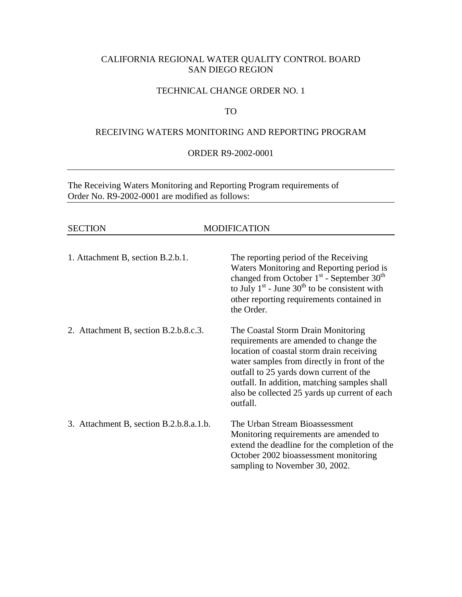# CALIFORNIA REGIONAL WATER QUALITY CONTROL BOARD SAN DIEGO REGION

### TECHNICAL CHANGE ORDER NO. 1

## TO

### RECEIVING WATERS MONITORING AND REPORTING PROGRAM

### ORDER R9-2002-0001

The Receiving Waters Monitoring and Reporting Program requirements of Order No. R9-2002-0001 are modified as follows:

| <b>SECTION</b>                          | <b>MODIFICATION</b>                                                                                                                                                                                                                                                                                                              |
|-----------------------------------------|----------------------------------------------------------------------------------------------------------------------------------------------------------------------------------------------------------------------------------------------------------------------------------------------------------------------------------|
| 1. Attachment B, section B.2.b.1.       | The reporting period of the Receiving<br>Waters Monitoring and Reporting period is<br>changed from October $1st$ - September 30 <sup>th</sup><br>to July $1st$ - June 30 <sup>th</sup> to be consistent with<br>other reporting requirements contained in<br>the Order.                                                          |
| 2. Attachment B, section B.2.b.8.c.3.   | The Coastal Storm Drain Monitoring<br>requirements are amended to change the<br>location of coastal storm drain receiving<br>water samples from directly in front of the<br>outfall to 25 yards down current of the<br>outfall. In addition, matching samples shall<br>also be collected 25 yards up current of each<br>outfall. |
| 3. Attachment B, section B.2.b.8.a.1.b. | The Urban Stream Bioassessment<br>Monitoring requirements are amended to<br>extend the deadline for the completion of the<br>October 2002 bioassessment monitoring<br>sampling to November 30, 2002.                                                                                                                             |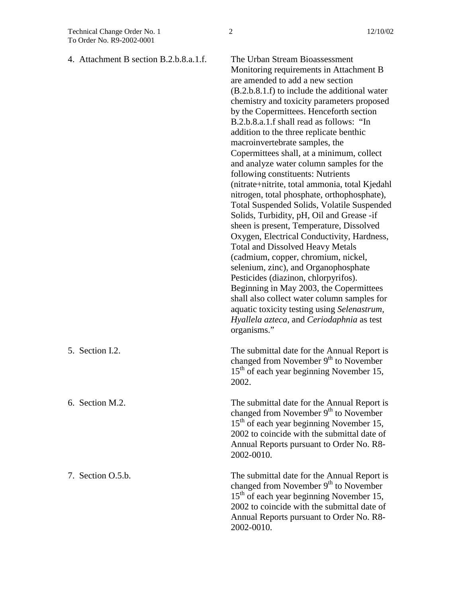| 4. Attachment B section B.2.b.8.a.1.f. | The Urban Stream Bioassessment<br>Monitoring requirements in Attachment B<br>are amended to add a new section<br>$(B.2.b.8.1.f)$ to include the additional water<br>chemistry and toxicity parameters proposed<br>by the Copermittees. Henceforth section<br>B.2.b.8.a.1.f shall read as follows: "In<br>addition to the three replicate benthic<br>macroinvertebrate samples, the<br>Copermittees shall, at a minimum, collect<br>and analyze water column samples for the<br>following constituents: Nutrients<br>(nitrate+nitrite, total ammonia, total Kjedahl<br>nitrogen, total phosphate, orthophosphate),<br>Total Suspended Solids, Volatile Suspended<br>Solids, Turbidity, pH, Oil and Grease -if<br>sheen is present, Temperature, Dissolved<br>Oxygen, Electrical Conductivity, Hardness,<br><b>Total and Dissolved Heavy Metals</b><br>(cadmium, copper, chromium, nickel,<br>selenium, zinc), and Organophosphate<br>Pesticides (diazinon, chlorpyrifos).<br>Beginning in May 2003, the Copermittees<br>shall also collect water column samples for<br>aquatic toxicity testing using Selenastrum,<br>Hyallela azteca, and Ceriodaphnia as test<br>organisms." |
|----------------------------------------|-------------------------------------------------------------------------------------------------------------------------------------------------------------------------------------------------------------------------------------------------------------------------------------------------------------------------------------------------------------------------------------------------------------------------------------------------------------------------------------------------------------------------------------------------------------------------------------------------------------------------------------------------------------------------------------------------------------------------------------------------------------------------------------------------------------------------------------------------------------------------------------------------------------------------------------------------------------------------------------------------------------------------------------------------------------------------------------------------------------------------------------------------------------------------------|
| 5. Section I.2.                        | The submittal date for the Annual Report is<br>changed from November 9 <sup>th</sup> to November<br>15 <sup>th</sup> of each year beginning November 15,<br>2002.                                                                                                                                                                                                                                                                                                                                                                                                                                                                                                                                                                                                                                                                                                                                                                                                                                                                                                                                                                                                             |
| 6. Section M.2.                        | The submittal date for the Annual Report is<br>changed from November 9 <sup>th</sup> to November<br>15 <sup>th</sup> of each year beginning November 15,<br>2002 to coincide with the submittal date of<br>Annual Reports pursuant to Order No. R8-<br>2002-0010.                                                                                                                                                                                                                                                                                                                                                                                                                                                                                                                                                                                                                                                                                                                                                                                                                                                                                                             |
| 7. Section O.5.b.                      | The submittal date for the Annual Report is<br>changed from November 9 <sup>th</sup> to November<br>15 <sup>th</sup> of each year beginning November 15,<br>2002 to coincide with the submittal date of<br>Annual Reports pursuant to Order No. R8-<br>2002-0010.                                                                                                                                                                                                                                                                                                                                                                                                                                                                                                                                                                                                                                                                                                                                                                                                                                                                                                             |